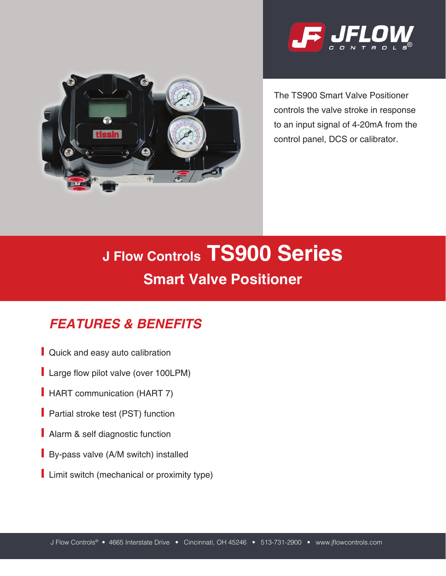



The TS900 Smart Valve Positioner controls the valve stroke in response to an input signal of 4-20mA from the control panel, DCS or calibrator.

# **J Flow Controls TS900 Series Smart Valve Positioner**

# *FEATURES & BENEFITS*

- Quick and easy auto calibration
- Large flow pilot valve (over 100LPM)
- **HART** communication (HART 7)
- **Partial stroke test (PST) function**
- Alarm & self diagnostic function
- **By-pass valve (A/M switch) installed**
- **Limit switch (mechanical or proximity type)**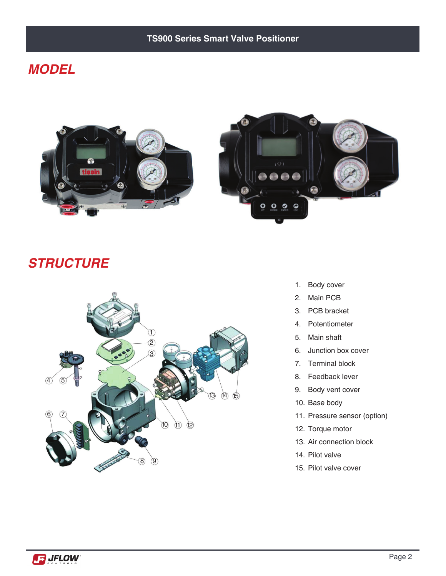#### **TS900 Series Smart Valve Positioner**

#### *MODEL*





#### *STRUCTURE*



- 1. Body cover
- 2. Main PCB
- 3. PCB bracket
- 4. Potentiometer
- 5. Main shaft
- 6. Junction box cover
- 7. Terminal block
- 8. Feedback lever
- 9. Body vent cover
- 10. Base body
- 11. Pressure sensor (option)
- 12. Torque motor
- 13. Air connection block
- 14. Pilot valve
- 15. Pilot valve cover

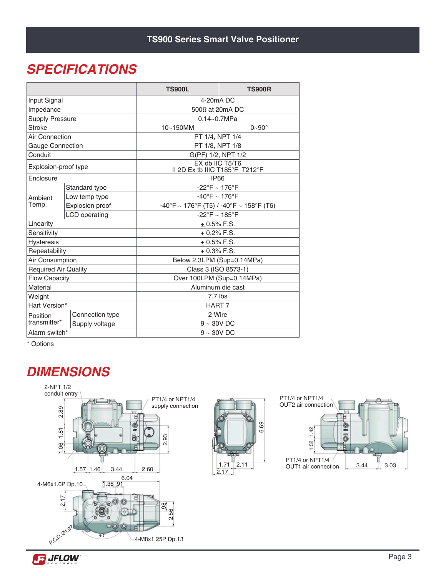## *SPECIFICATIONS*

|                             |                      | <b>TS900L</b>                                                                      | <b>TS900R</b>    |  |  |  |
|-----------------------------|----------------------|------------------------------------------------------------------------------------|------------------|--|--|--|
| Input Signal                |                      | 4-20mA DC                                                                          |                  |  |  |  |
| Impedance                   |                      | $500\Omega$ at 20mA DC                                                             |                  |  |  |  |
| <b>Supply Pressure</b>      |                      | $0.14 - 0.7 MPa$                                                                   |                  |  |  |  |
| <b>Stroke</b>               |                      | 10~150MM                                                                           | $0 - 90^{\circ}$ |  |  |  |
| Air Connection              |                      | PT 1/4, NPT 1/4                                                                    |                  |  |  |  |
| <b>Gauge Connection</b>     |                      | PT 1/8, NPT 1/8                                                                    |                  |  |  |  |
| Conduit                     |                      | G(PF) 1/2, NPT 1/2                                                                 |                  |  |  |  |
| Explosion-proof type        |                      | EX db IIC T5/T6<br>II 2D Ex tb IIIC T185°F T212°F                                  |                  |  |  |  |
| Enclosure                   |                      | <b>IP66</b>                                                                        |                  |  |  |  |
|                             | Standard type        | $-22^{\circ}F \sim 176^{\circ}F$                                                   |                  |  |  |  |
| Ambient                     | Low temp type        | $-40^{\circ}F \sim 176^{\circ}F$                                                   |                  |  |  |  |
| Temp.                       | Explosion proof      | $-40^{\circ}$ F ~ 176 $^{\circ}$ F (T5) / -40 $^{\circ}$ F ~ 158 $^{\circ}$ F (T6) |                  |  |  |  |
|                             | <b>LCD</b> operating | -22°F ~ 185°F                                                                      |                  |  |  |  |
| Linearity                   |                      | $+0.5\%$ F.S.                                                                      |                  |  |  |  |
| Sensitivity                 |                      | $+0.2\%$ F.S.                                                                      |                  |  |  |  |
| <b>Hysteresis</b>           |                      | $+0.5\%$ F.S.                                                                      |                  |  |  |  |
| Repeatability               |                      | $+0.3\%$ F.S.                                                                      |                  |  |  |  |
| Air Consumption             |                      | Below 2.3LPM (Sup=0.14MPa)                                                         |                  |  |  |  |
| <b>Required Air Quality</b> |                      | Class 3 (ISO 8573-1)                                                               |                  |  |  |  |
| <b>Flow Capacity</b>        |                      | Over 100LPM (Sup=0.14MPa)                                                          |                  |  |  |  |
| Material                    |                      | Aluminum die cast                                                                  |                  |  |  |  |
| Weight                      |                      | $7.7$ lbs                                                                          |                  |  |  |  |
| Hart Version*               |                      | HART 7                                                                             |                  |  |  |  |
| Position                    | Connection type      | 2 Wire                                                                             |                  |  |  |  |
| transmitter*                | Supply voltage       | $9 - 30V$ DC                                                                       |                  |  |  |  |
| Alarm switch*               |                      | $9 - 30V$ DC                                                                       |                  |  |  |  |

\* Options

## *DIMENSIONS*